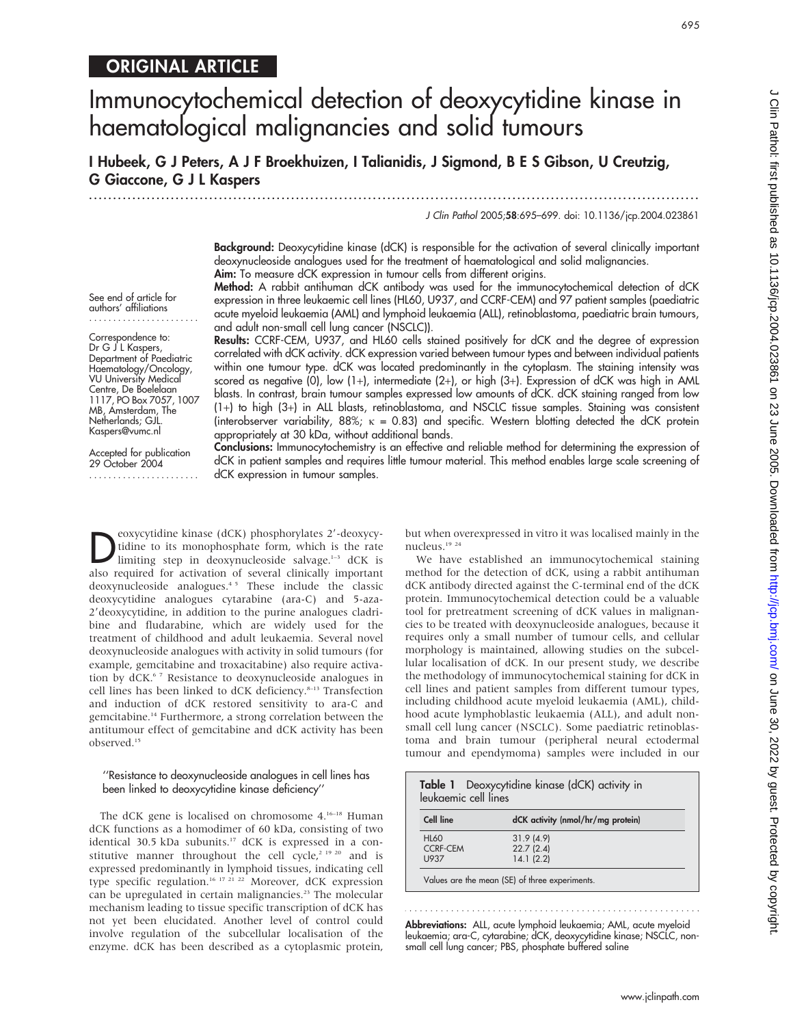# ORIGINAL ARTICLE

# Immunocytochemical detection of deoxycytidine kinase in haematological malignancies and solid tumours

I Hubeek, G J Peters, A J F Broekhuizen, I Talianidis, J Sigmond, B E S Gibson, U Creutzig, G Giaccone, G J L Kaspers

...............................................................................................................................

J Clin Pathol 2005;58:695–699. doi: 10.1136/jcp.2004.023861

Background: Deoxycytidine kinase (dCK) is responsible for the activation of several clinically important deoxynucleoside analogues used for the treatment of haematological and solid malignancies. Aim: To measure dCK expression in tumour cells from different origins.

Method: A rabbit antihuman dCK antibody was used for the immunocytochemical detection of dCK expression in three leukaemic cell lines (HL60, U937, and CCRF-CEM) and 97 patient samples (paediatric acute myeloid leukaemia (AML) and lymphoid leukaemia (ALL), retinoblastoma, paediatric brain tumours, and adult non-small cell lung cancer (NSCLC)).

Results: CCRF-CEM, U937, and HL60 cells stained positively for dCK and the degree of expression correlated with dCK activity. dCK expression varied between tumour types and between individual patients within one tumour type. dCK was located predominantly in the cytoplasm. The staining intensity was scored as negative (0), low (1+), intermediate (2+), or high (3+). Expression of dCK was high in AML blasts. In contrast, brain tumour samples expressed low amounts of dCK. dCK staining ranged from low (1+) to high (3+) in ALL blasts, retinoblastoma, and NSCLC tissue samples. Staining was consistent (interobserver variability, 88%;  $\kappa = 0.83$ ) and specific. Western blotting detected the dCK protein appropriately at 30 kDa, without additional bands.

Conclusions: Immunocytochemistry is an effective and reliable method for determining the expression of dCK in patient samples and requires little tumour material. This method enables large scale screening of dCK expression in tumour samples.

**Deoxycytidine kinase (dCK) phosphorylates 2'-deoxycy-**<br>
limiting step in deoxynucleoside salvage.<sup>1-3</sup> dCK is<br>
also required for activation of causeal dipically important tidine to its monophosphate form, which is the rate also required for activation of several clinically important deoxynucleoside analogues.<sup>45</sup> These include the classic deoxycytidine analogues cytarabine (ara-C) and 5-aza-2'deoxycytidine, in addition to the purine analogues cladribine and fludarabine, which are widely used for the treatment of childhood and adult leukaemia. Several novel deoxynucleoside analogues with activity in solid tumours (for example, gemcitabine and troxacitabine) also require activation by dCK.<sup>67</sup> Resistance to deoxynucleoside analogues in cell lines has been linked to dCK deficiency.<sup>8-13</sup> Transfection and induction of dCK restored sensitivity to ara-C and gemcitabine.14 Furthermore, a strong correlation between the antitumour effect of gemcitabine and dCK activity has been observed.15

# ''Resistance to deoxynucleoside analogues in cell lines has been linked to deoxycytidine kinase deficiency''

The dCK gene is localised on chromosome 4.<sup>16–18</sup> Human dCK functions as a homodimer of 60 kDa, consisting of two identical 30.5 kDa subunits.<sup>17</sup> dCK is expressed in a constitutive manner throughout the cell cycle,<sup>2 19 20</sup> and is expressed predominantly in lymphoid tissues, indicating cell type specific regulation.<sup>16 17 21 22</sup> Moreover, dCK expression can be upregulated in certain malignancies.<sup>23</sup> The molecular mechanism leading to tissue specific transcription of dCK has not yet been elucidated. Another level of control could involve regulation of the subcellular localisation of the enzyme. dCK has been described as a cytoplasmic protein, but when overexpressed in vitro it was localised mainly in the nucleus.<sup>19</sup> <sup>24</sup>

We have established an immunocytochemical staining method for the detection of dCK, using a rabbit antihuman dCK antibody directed against the C-terminal end of the dCK protein. Immunocytochemical detection could be a valuable tool for pretreatment screening of dCK values in malignancies to be treated with deoxynucleoside analogues, because it requires only a small number of tumour cells, and cellular morphology is maintained, allowing studies on the subcellular localisation of dCK. In our present study, we describe the methodology of immunocytochemical staining for dCK in cell lines and patient samples from different tumour types, including childhood acute myeloid leukaemia (AML), childhood acute lymphoblastic leukaemia (ALL), and adult nonsmall cell lung cancer (NSCLC). Some paediatric retinoblastoma and brain tumour (peripheral neural ectodermal tumour and ependymoma) samples were included in our

| Table 1 Deoxycytidine kinase (dCK) activity in<br>leukgemic cell lines |                                                |
|------------------------------------------------------------------------|------------------------------------------------|
| <b>Cell line</b>                                                       | dCK activity (nmol/hr/mg protein)              |
| <b>HL60</b><br><b>CCRF-CEM</b><br>U937                                 | 31.9(4.9)<br>22.7(2.4)<br>14.1(2.2)            |
|                                                                        | Values are the mean (SE) of three experiments. |

Abbreviations: ALL, acute lymphoid leukaemia; AML, acute myeloid leukaemia; ara-C, cytarabine; dCK, deoxycytidine kinase; NSCLC, nonsmall cell lung cancer; PBS, phosphate buffered saline

www.jclinpath.com

....................... Correspondence to: Dr G J L Kaspers, Department of Paediatric Haematology/Oncology, VU University Medical Centre, De Boelelaan 1117, PO Box 7057, 1007 MB, Amsterdam, The Netherlands; GJL.

See end of article for authors' affiliations

Accepted for publication 29 October 2004 .......................

Kaspers@vumc.nl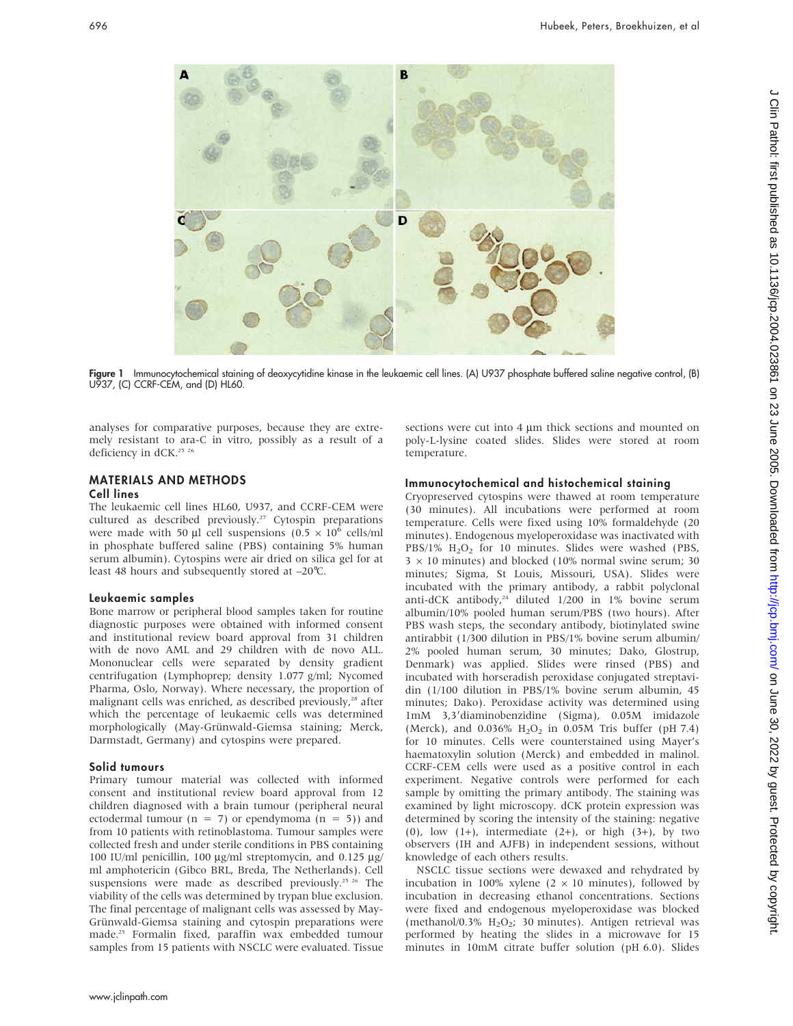

Figure 1 Immunocytochemical staining of deoxycytidine kinase in the leukaemic cell lines. (A) U937 phosphate buffered saline negative control, (B) U937, (C) CCRF-CEM, and (D) HL60.

analyses for comparative purposes, because they are extremely resistant to ara-C in vitro, possibly as a result of a deficiency in dCK.<sup>25</sup> <sup>26</sup>

# MATERIALS AND METHODS Cell lines

The leukaemic cell lines HL60, U937, and CCRF-CEM were cultured as described previously.<sup>27</sup> Cytospin preparations were made with 50 µl cell suspensions (0.5  $\times$  10<sup>6</sup> cells/ml in phosphate buffered saline (PBS) containing 5% human serum albumin). Cytospins were air dried on silica gel for at least 48 hours and subsequently stored at –20˚C.

## Leukaemic samples

Bone marrow or peripheral blood samples taken for routine diagnostic purposes were obtained with informed consent and institutional review board approval from 31 children with de novo AML and 29 children with de novo ALL. Mononuclear cells were separated by density gradient centrifugation (Lymphoprep; density 1.077 g/ml; Nycomed Pharma, Oslo, Norway). Where necessary, the proportion of malignant cells was enriched, as described previously,<sup>28</sup> after which the percentage of leukaemic cells was determined morphologically (May-Grünwald-Giemsa staining; Merck, Darmstadt, Germany) and cytospins were prepared.

# Solid tumours

Primary tumour material was collected with informed consent and institutional review board approval from 12 children diagnosed with a brain tumour (peripheral neural ectodermal tumour ( $n = 7$ ) or ependymoma ( $n = 5$ )) and from 10 patients with retinoblastoma. Tumour samples were collected fresh and under sterile conditions in PBS containing 100 IU/ml penicillin, 100  $\mu$ g/ml streptomycin, and 0.125  $\mu$ g/ ml amphotericin (Gibco BRL, Breda, The Netherlands). Cell suspensions were made as described previously.<sup>25 26</sup> The viability of the cells was determined by trypan blue exclusion. The final percentage of malignant cells was assessed by May-Grünwald-Giemsa staining and cytospin preparations were made.25 Formalin fixed, paraffin wax embedded tumour samples from 15 patients with NSCLC were evaluated. Tissue sections were cut into  $4 \mu m$  thick sections and mounted on poly-L-lysine coated slides. Slides were stored at room temperature.

# Immunocytochemical and histochemical staining

Cryopreserved cytospins were thawed at room temperature (30 minutes). All incubations were performed at room temperature. Cells were fixed using 10% formaldehyde (20 minutes). Endogenous myeloperoxidase was inactivated with PBS/1% H<sub>2</sub>O<sub>2</sub> for 10 minutes. Slides were washed (PBS,  $3 \times 10$  minutes) and blocked (10% normal swine serum; 30 minutes; Sigma, St Louis, Missouri, USA). Slides were incubated with the primary antibody, a rabbit polyclonal anti-dCK antibody,<sup>24</sup> diluted 1/200 in 1% bovine serum albumin/10% pooled human serum/PBS (two hours). After PBS wash steps, the secondary antibody, biotinylated swine antirabbit (1/300 dilution in PBS/1% bovine serum albumin/ 2% pooled human serum, 30 minutes; Dako, Glostrup, Denmark) was applied. Slides were rinsed (PBS) and incubated with horseradish peroxidase conjugated streptavidin (1/100 dilution in PBS/1% bovine serum albumin, 45 minutes; Dako). Peroxidase activity was determined using 1mM 3,39diaminobenzidine (Sigma), 0.05M imidazole (Merck), and  $0.036\%$  H<sub>2</sub>O<sub>2</sub> in 0.05M Tris buffer (pH 7.4) for 10 minutes. Cells were counterstained using Mayer's haematoxylin solution (Merck) and embedded in malinol. CCRF-CEM cells were used as a positive control in each experiment. Negative controls were performed for each sample by omitting the primary antibody. The staining was examined by light microscopy. dCK protein expression was determined by scoring the intensity of the staining: negative (0), low  $(1+)$ , intermediate  $(2+)$ , or high  $(3+)$ , by two observers (IH and AJFB) in independent sessions, without knowledge of each others results.

NSCLC tissue sections were dewaxed and rehydrated by incubation in 100% xylene (2  $\times$  10 minutes), followed by incubation in decreasing ethanol concentrations. Sections were fixed and endogenous myeloperoxidase was blocked (methanol/0.3%  $H_2O_2$ ; 30 minutes). Antigen retrieval was performed by heating the slides in a microwave for 15 minutes in 10mM citrate buffer solution (pH 6.0). Slides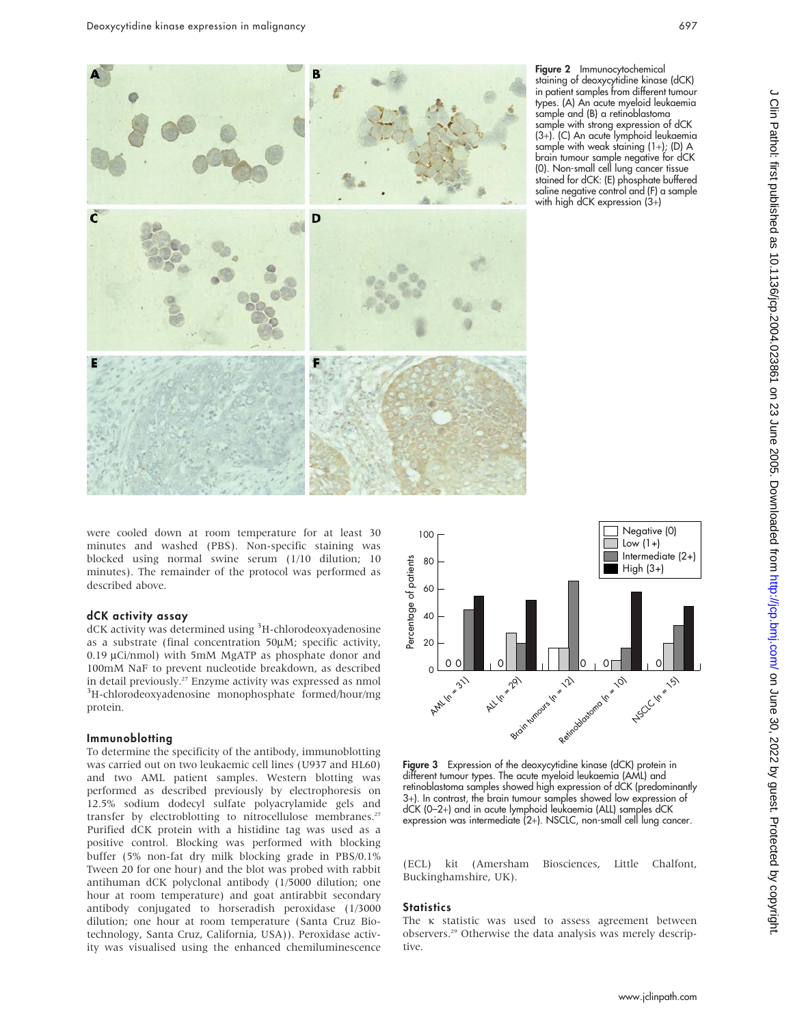

Figure 2 Immunocytochemical staining of deoxycytidine kinase (dCK) in patient samples from different tumour types. (A) An acute myeloid leukaemia sample and (B) a retinoblastoma sample with strong expression of dCK (3+). (C) An acute lymphoid leukaemia sample with weak staining (1+); (D) A brain tumour sample negative for dCK (0). Non-small cell lung cancer tissue stained for dCK: (E) phosphate buffered saline negative control and (F) a sample with high dCK expression (3+)

were cooled down at room temperature for at least 30 minutes and washed (PBS). Non-specific staining was blocked using normal swine serum (1/10 dilution; 10 minutes). The remainder of the protocol was performed as described above.

#### dCK activity assay

dCK activity was determined using <sup>3</sup>H-chlorodeoxyadenosine as a substrate (final concentration 50µM; specific activity, 0.19  $\mu$ Ci/nmol) with 5mM MgATP as phosphate donor and 100mM NaF to prevent nucleotide breakdown, as described in detail previously.<sup>27</sup> Enzyme activity was expressed as nmol <sup>3</sup>H-chlorodeoxyadenosine monophosphate formed/hour/mg protein.

#### Immunoblotting

To determine the specificity of the antibody, immunoblotting was carried out on two leukaemic cell lines (U937 and HL60) and two AML patient samples. Western blotting was performed as described previously by electrophoresis on 12.5% sodium dodecyl sulfate polyacrylamide gels and transfer by electroblotting to nitrocellulose membranes.<sup>27</sup> Purified dCK protein with a histidine tag was used as a positive control. Blocking was performed with blocking buffer (5% non-fat dry milk blocking grade in PBS/0.1% Tween 20 for one hour) and the blot was probed with rabbit antihuman dCK polyclonal antibody (1/5000 dilution; one hour at room temperature) and goat antirabbit secondary antibody conjugated to horseradish peroxidase (1/3000 dilution; one hour at room temperature (Santa Cruz Biotechnology, Santa Cruz, California, USA)). Peroxidase activity was visualised using the enhanced chemiluminescence



Figure 3 Expression of the deoxycytidine kinase (dCK) protein in different tumour types. The acute myeloid leukaemia (AML) and retinoblastoma samples showed high expression of dCK (predominantly 3+). In contrast, the brain tumour samples showed low expression of dCK (0–2+) and in acute lymphoid leukaemia (ALL) samples dCK expression was intermediate (2+). NSCLC, non-small cell lung cancer.

(ECL) kit (Amersham Biosciences, Little Chalfont, Buckinghamshire, UK).

#### **Statistics**

The  $\kappa$  statistic was used to assess agreement between observers.29 Otherwise the data analysis was merely descriptive.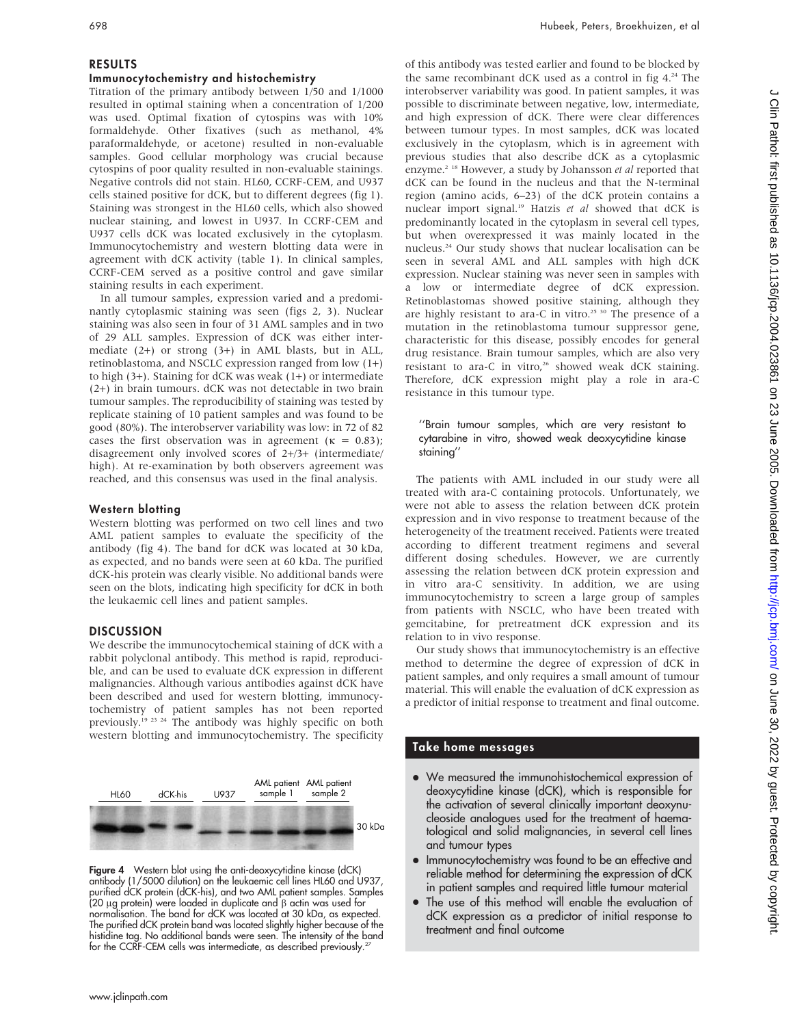# RESULTS

## Immunocytochemistry and histochemistry

Titration of the primary antibody between 1/50 and 1/1000 resulted in optimal staining when a concentration of 1/200 was used. Optimal fixation of cytospins was with 10% formaldehyde. Other fixatives (such as methanol, 4% paraformaldehyde, or acetone) resulted in non-evaluable samples. Good cellular morphology was crucial because cytospins of poor quality resulted in non-evaluable stainings. Negative controls did not stain. HL60, CCRF-CEM, and U937 cells stained positive for dCK, but to different degrees (fig 1). Staining was strongest in the HL60 cells, which also showed nuclear staining, and lowest in U937. In CCRF-CEM and U937 cells dCK was located exclusively in the cytoplasm. Immunocytochemistry and western blotting data were in agreement with dCK activity (table 1). In clinical samples, CCRF-CEM served as a positive control and gave similar staining results in each experiment.

In all tumour samples, expression varied and a predominantly cytoplasmic staining was seen (figs 2, 3). Nuclear staining was also seen in four of 31 AML samples and in two of 29 ALL samples. Expression of dCK was either intermediate (2+) or strong (3+) in AML blasts, but in ALL, retinoblastoma, and NSCLC expression ranged from low (1+) to high (3+). Staining for dCK was weak (1+) or intermediate (2+) in brain tumours. dCK was not detectable in two brain tumour samples. The reproducibility of staining was tested by replicate staining of 10 patient samples and was found to be good (80%). The interobserver variability was low: in 72 of 82 cases the first observation was in agreement ( $\kappa = 0.83$ ); disagreement only involved scores of 2+/3+ (intermediate/ high). At re-examination by both observers agreement was reached, and this consensus was used in the final analysis.

## Western blotting

Western blotting was performed on two cell lines and two AML patient samples to evaluate the specificity of the antibody (fig 4). The band for dCK was located at 30 kDa, as expected, and no bands were seen at 60 kDa. The purified dCK-his protein was clearly visible. No additional bands were seen on the blots, indicating high specificity for dCK in both the leukaemic cell lines and patient samples.

## **DISCUSSION**

We describe the immunocytochemical staining of dCK with a rabbit polyclonal antibody. This method is rapid, reproducible, and can be used to evaluate dCK expression in different malignancies. Although various antibodies against dCK have been described and used for western blotting, immunocytochemistry of patient samples has not been reported previously.19 23 24 The antibody was highly specific on both western blotting and immunocytochemistry. The specificity



**Figure 4** Western blot using the anti-deoxycytidine kinase (dCK) antibody (1/5000 dilution) on the leukaemic cell lines HL60 and U937, purified dCK protein (dCK-his), and two AML patient samples. Samples (20  $\mu$ g protein) were loaded in duplicate and  $\beta$  actin was used for normalisation. The band for dCK was located at 30 kDa, as expected. The purified dCK protein band was located slightly higher because of the histidine tag. No additional bands were seen. The intensity of the band for the CCRF-CEM cells was intermediate, as described previously.<sup>2</sup>

of this antibody was tested earlier and found to be blocked by the same recombinant dCK used as a control in fig 4.24 The interobserver variability was good. In patient samples, it was possible to discriminate between negative, low, intermediate, and high expression of dCK. There were clear differences between tumour types. In most samples, dCK was located exclusively in the cytoplasm, which is in agreement with previous studies that also describe dCK as a cytoplasmic enzyme.<sup>2 18</sup> However, a study by Johansson et al reported that dCK can be found in the nucleus and that the N-terminal region (amino acids, 6–23) of the dCK protein contains a nuclear import signal.<sup>19</sup> Hatzis et al showed that dCK is predominantly located in the cytoplasm in several cell types, but when overexpressed it was mainly located in the nucleus.24 Our study shows that nuclear localisation can be seen in several AML and ALL samples with high dCK expression. Nuclear staining was never seen in samples with a low or intermediate degree of dCK expression. Retinoblastomas showed positive staining, although they are highly resistant to ara-C in vitro.<sup>25 30</sup> The presence of a mutation in the retinoblastoma tumour suppressor gene, characteristic for this disease, possibly encodes for general drug resistance. Brain tumour samples, which are also very resistant to ara-C in vitro, $26$  showed weak dCK staining. Therefore, dCK expression might play a role in ara-C resistance in this tumour type.

# ''Brain tumour samples, which are very resistant to cytarabine in vitro, showed weak deoxycytidine kinase staining''

The patients with AML included in our study were all treated with ara-C containing protocols. Unfortunately, we were not able to assess the relation between dCK protein expression and in vivo response to treatment because of the heterogeneity of the treatment received. Patients were treated according to different treatment regimens and several different dosing schedules. However, we are currently assessing the relation between dCK protein expression and in vitro ara-C sensitivity. In addition, we are using immunocytochemistry to screen a large group of samples from patients with NSCLC, who have been treated with gemcitabine, for pretreatment dCK expression and its relation to in vivo response.

Our study shows that immunocytochemistry is an effective method to determine the degree of expression of dCK in patient samples, and only requires a small amount of tumour material. This will enable the evaluation of dCK expression as a predictor of initial response to treatment and final outcome.

# Take home messages

- We measured the immunohistochemical expression of deoxycytidine kinase (dCK), which is responsible for the activation of several clinically important deoxynucleoside analogues used for the treatment of haematological and solid malignancies, in several cell lines and tumour types
- Immunocytochemistry was found to be an effective and reliable method for determining the expression of dCK in patient samples and required little tumour material
- The use of this method will enable the evaluation of dCK expression as a predictor of initial response to treatment and final outcome